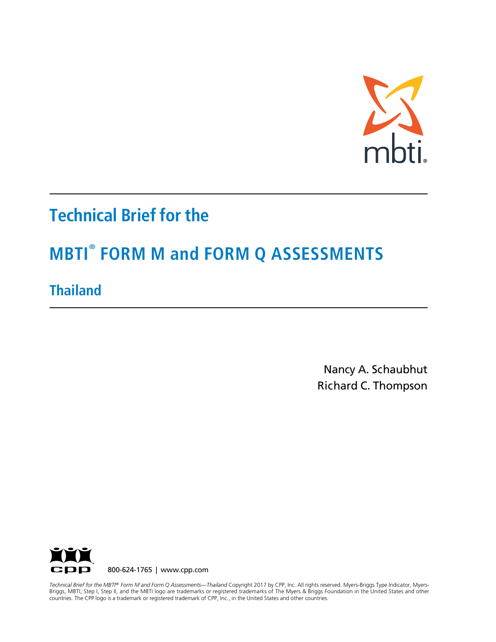

# **Technical Brief for the**

# **MBTI® FORM M and FORM Q ASSESSMENTS**

**Thailand** 

Nancy A. Schaubhut Richard C. Thompson



countries. The CPP logo is a trademark or registered trademark of CPP, Inc., in the United States and other countries. Technical Brief for the MBTI® Form M and Form Q Assessments—Thailand Copyright 2017 by CPP, Inc. All rights reserved. Myers-Briggs Type Indicator, Myers-Briggs, MBTI, Step I, Step II, and the MBTI logo are trademarks or registered trademarks of The Myers & Briggs Foundation in the United States and other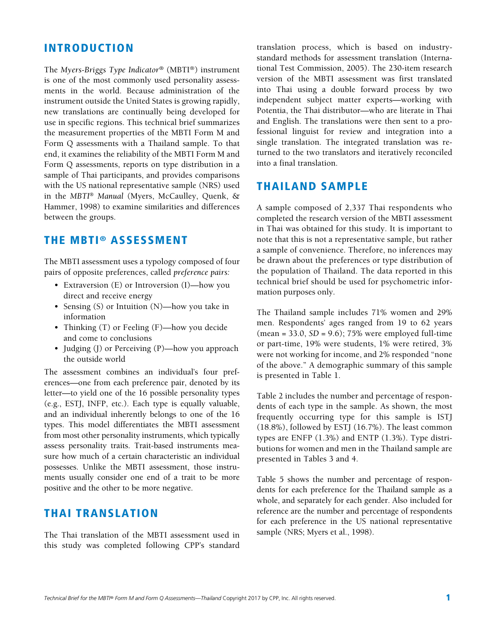## INTRODUCTION

The *Myers-Briggs Type Indicator®* (MBTI®) instrument is one of the most commonly used personality assessments in the world. Because administration of the instrument outside the United States is growing rapidly, new translations are continually being developed for use in specific regions. This technical brief summarizes the measurement properties of the MBTI Form M and Form Q assessments with a Thailand sample. To that end, it examines the reliability of the MBTI Form M and Form Q assessments, reports on type distribution in a sample of Thai participants, and provides comparisons with the US national representative sample (NRS) used in the *MBTI*® *Manual* (Myers, McCaulley, Quenk, & Hammer, 1998) to examine similarities and differences between the groups.

### THE MBTI® ASSESSMENT

The MBTI assessment uses a typology composed of four pairs of opposite preferences, called *preference pairs:*

- Extraversion (E) or Introversion (I)—how you direct and receive energy
- Sensing (S) or Intuition (N)—how you take in information
- Thinking (T) or Feeling (F)—how you decide and come to conclusions
- Judging (J) or Perceiving (P)—how you approach the outside world

The assessment combines an individual's four preferences—one from each preference pair, denoted by its letter—to yield one of the 16 possible personality types (e.g., ESTJ, INFP, etc.). Each type is equally valuable, and an individual inherently belongs to one of the 16 types. This model differentiates the MBTI assessment from most other personality instruments, which typically assess personality traits. Trait-based instruments measure how much of a certain characteristic an individual possesses. Unlike the MBTI assessment, those instruments usually consider one end of a trait to be more positive and the other to be more negative.

# THAI TRANSLATION

The Thai translation of the MBTI assessment used in this study was completed following CPP's standard

translation process, which is based on industrystandard methods for assessment translation (International Test Commission, 2005). The 230-item research version of the MBTI assessment was first translated into Thai using a double forward process by two independent subject matter experts—working with Potentia, the Thai distributor—who are literate in Thai and English. The translations were then sent to a professional linguist for review and integration into a single translation. The integrated translation was returned to the two translators and iteratively reconciled into a final translation.

### THAILAND SAMPLE

A sample composed of 2,337 Thai respondents who completed the research version of the MBTI assessment in Thai was obtained for this study. It is important to note that this is not a representative sample, but rather a sample of convenience. Therefore, no inferences may be drawn about the preferences or type distribution of the population of Thailand. The data reported in this technical brief should be used for psychometric information purposes only.

The Thailand sample includes 71% women and 29% men. Respondents' ages ranged from 19 to 62 years (mean = 33.0, *SD* = 9.6); 75% were employed full-time or part-time, 19% were students, 1% were retired, 3% were not working for income, and 2% responded "none of the above." A demographic summary of this sample is presented in Table 1.

Table 2 includes the number and percentage of respondents of each type in the sample. As shown, the most frequently occurring type for this sample is ISTJ (18.8%), followed by ESTJ (16.7%). The least common types are ENFP (1.3%) and ENTP (1.3%). Type distributions for women and men in the Thailand sample are presented in Tables 3 and 4.

Table 5 shows the number and percentage of respondents for each preference for the Thailand sample as a whole, and separately for each gender. Also included for reference are the number and percentage of respondents for each preference in the US national representative sample (NRS; Myers et al., 1998).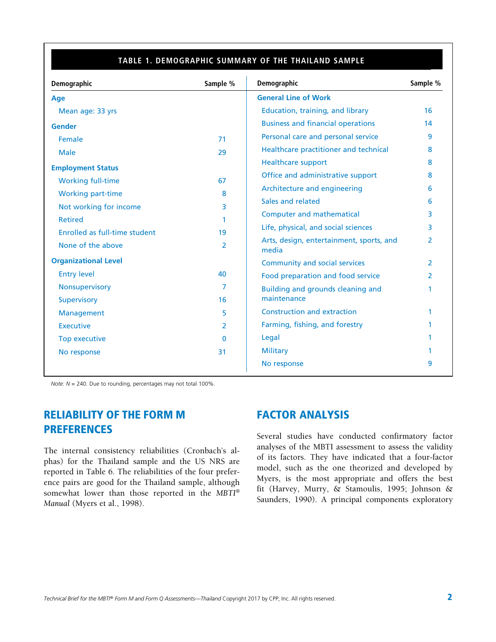#### **TABLE 4. PREDICTION RATIOS FOR THE AFRIKAANS SAMPLE TABLE 1. DEMOGRAPHIC SUMMARY OF THE THAILAND SAMPLE**

| Demographic                   | Sample % | Demographic                                       | Sample %      |
|-------------------------------|----------|---------------------------------------------------|---------------|
| <b>Age</b>                    |          | <b>General Line of Work</b>                       |               |
| Mean age: 33 yrs              |          | Education, training, and library                  | 16            |
| <b>Gender</b>                 |          | <b>Business and financial operations</b>          | 14            |
| Female                        | 71       | Personal care and personal service                | 9             |
| <b>Male</b>                   | 29       | Healthcare practitioner and technical             | 8             |
| <b>Employment Status</b>      |          | <b>Healthcare support</b>                         | 8             |
| <b>Working full-time</b>      | 67       | Office and administrative support                 | 8             |
| <b>Working part-time</b>      | 8        | Architecture and engineering                      | 6             |
| Not working for income        | 3        | Sales and related                                 | 6             |
| <b>Retired</b>                | 1        | <b>Computer and mathematical</b>                  | 3             |
| Enrolled as full-time student | 19       | Life, physical, and social sciences               | 3             |
| None of the above             | 2        | Arts, design, entertainment, sports, and<br>media | 2             |
| <b>Organizational Level</b>   |          | <b>Community and social services</b>              | $\mathcal{P}$ |
| <b>Entry level</b>            | 40       | Food preparation and food service                 | $\mathcal{P}$ |
| Nonsupervisory                | 7        | Building and grounds cleaning and                 |               |
| <b>Supervisory</b>            | 16       | maintenance                                       |               |
| Management                    | 5        | <b>Construction and extraction</b>                |               |
| <b>Executive</b>              | 2        | Farming, fishing, and forestry                    |               |
| Top executive                 | $\Omega$ | Legal                                             |               |
| No response                   | 31       | <b>Military</b>                                   |               |
|                               |          | No response                                       | 9             |

*Note: N* = 240. Due to rounding, percentages may not total 100%.

# RELIABILITY OF THE FORM M PREFERENCES

The internal consistency reliabilities (Cronbach's alphas) for the Thailand sample and the US NRS are reported in Table 6. The reliabilities of the four preference pairs are good for the Thailand sample, although somewhat lower than those reported in the *MBTI*® *Manual* (Myers et al., 1998).

# FACTOR ANALYSIS

Several studies have conducted confirmatory factor analyses of the MBTI assessment to assess the validity of its factors. They have indicated that a four-factor model, such as the one theorized and developed by Myers, is the most appropriate and offers the best fit (Harvey, Murry, & Stamoulis, 1995; Johnson & Saunders, 1990). A principal components exploratory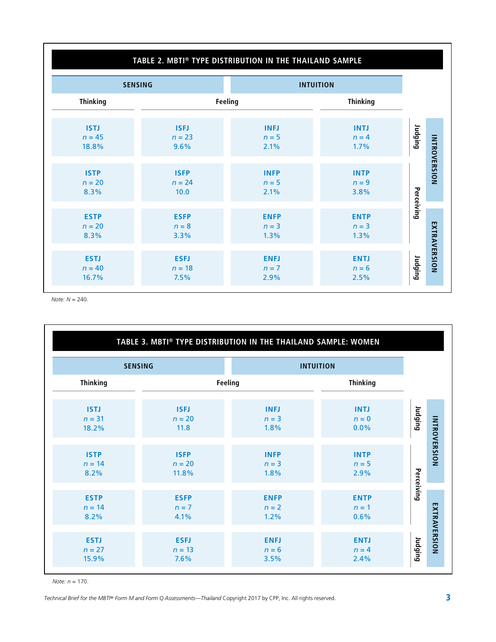# **TABLE 2. MBTI® TYPE DISTRIBUTION IN THE THAILAND SAMPLE**

|                                  | <b>SENSING</b>                  |                                | <b>INTUITION</b>               |            |                     |
|----------------------------------|---------------------------------|--------------------------------|--------------------------------|------------|---------------------|
| <b>Thinking</b>                  |                                 | Feeling                        | <b>Thinking</b>                |            |                     |
| <b>ISTJ</b><br>$n = 45$<br>18.8% | <b>ISFJ</b><br>$n = 23$<br>9.6% | <b>INFJ</b><br>$n=5$<br>2.1%   | <b>INTJ</b><br>$n = 4$<br>1.7% | Judging    |                     |
| <b>ISTP</b><br>$n = 20$<br>8.3%  | <b>ISFP</b><br>$n = 24$<br>10.0 | <b>INFP</b><br>$n=5$<br>2.1%   | <b>INTP</b><br>$n = 9$<br>3.8% |            | <b>INTROVERSION</b> |
| <b>ESTP</b><br>$n = 20$<br>8.3%  | <b>ESFP</b><br>$n = 8$<br>3.3%  | <b>ENFP</b><br>$n = 3$<br>1.3% | <b>ENTP</b><br>$n = 3$<br>1.3% | Perceiving |                     |
| <b>ESTJ</b><br>$n = 40$<br>16.7% | <b>ESFJ</b><br>$n = 18$<br>7.5% | <b>ENFJ</b><br>$n = 7$<br>2.9% | <b>ENTJ</b><br>$n = 6$<br>2.5% | Judging    | EXTRAVERSION        |

*Note: N* = 240.

|                                  | TABLE 3. MBTI® TYPE DISTRIBUTION IN THE THAILAND SAMPLE: WOMEN |                                |                                |                                |
|----------------------------------|----------------------------------------------------------------|--------------------------------|--------------------------------|--------------------------------|
|                                  | <b>SENSING</b>                                                 |                                | <b>INTUITION</b>               |                                |
| <b>Thinking</b>                  |                                                                | Feeling                        | <b>Thinking</b>                |                                |
| <b>ISTJ</b><br>$n = 31$<br>18.2% | <b>ISFJ</b><br>$n = 20$<br>11.8                                | <b>INFJ</b><br>$n = 3$<br>1.8% | <b>INTJ</b><br>$n = 0$<br>0.0% | Judging                        |
| <b>ISTP</b><br>$n = 14$<br>8.2%  | <b>ISFP</b><br>$n = 20$<br>11.8%                               | <b>INFP</b><br>$n = 3$<br>1.8% | <b>INTP</b><br>$n=5$<br>2.9%   | INTROVERSION                   |
| <b>ESTP</b><br>$n = 14$<br>8.2%  | <b>ESFP</b><br>$n = 7$<br>4.1%                                 | <b>ENFP</b><br>$n = 2$<br>1.2% | <b>ENTP</b><br>$n=1$<br>0.6%   | Perceiving                     |
| <b>ESTJ</b><br>$n = 27$<br>15.9% | <b>ESFJ</b><br>$n = 13$<br>7.6%                                | <b>ENFJ</b><br>$n = 6$<br>3.5% | <b>ENTJ</b><br>$n = 4$<br>2.4% | EXTRAVERSION<br><b>Judging</b> |

*Note: n* = 170.

*Technical Brief for the MBTI® Form M and Form Q Assessments—Thailand Copyright 2017 by CPP, Inc. All rights reserved. 3 3*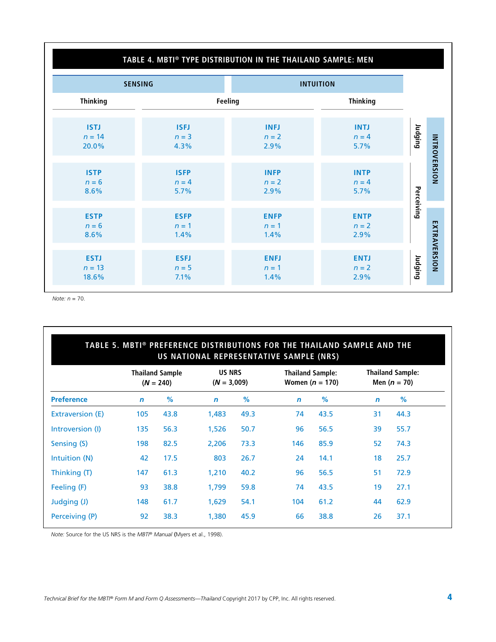## **TABLE 4. MBTI® TYPE DISTRIBUTION IN THE THAILAND SAMPLE: MEN**

| <b>SENSING</b>                   |                              |                                | <b>INTUITION</b>               |                         |
|----------------------------------|------------------------------|--------------------------------|--------------------------------|-------------------------|
| <b>Thinking</b>                  | Feeling                      |                                | <b>Thinking</b>                |                         |
| <b>ISTJ</b>                      | <b>ISFJ</b>                  | <b>INFJ</b>                    | <b>INTJ</b>                    | Judging                 |
| $n = 14$                         | $n = 3$                      | $n = 2$                        | $n = 4$                        |                         |
| 20.0%                            | 4.3%                         | 2.9%                           | 5.7%                           |                         |
| <b>ISTP</b>                      | <b>ISFP</b>                  | <b>INFP</b>                    | <b>INTP</b>                    | INTROVERSION            |
| $n = 6$                          | $n = 4$                      | $n = 2$                        | $n = 4$                        |                         |
| 8.6%                             | 5.7%                         | 2.9%                           | 5.7%                           |                         |
| <b>ESTP</b>                      | <b>ESFP</b>                  | <b>ENFP</b>                    | <b>ENTP</b>                    | Perceiving              |
| $n = 6$                          | $n=1$                        | $n = 1$                        | $n = 2$                        |                         |
| 8.6%                             | 1.4%                         | 1.4%                           | 2.9%                           |                         |
| <b>ESTJ</b><br>$n = 13$<br>18.6% | <b>ESFJ</b><br>$n=5$<br>7.1% | <b>ENFJ</b><br>$n = 1$<br>1.4% | <b>ENTJ</b><br>$n = 2$<br>2.9% | EXTRAVERSION<br>Judging |

*Note: n* = 70.

|                   | <b>Thailand Sample</b><br>$(N = 240)$ |      | <b>US NRS</b><br>$(N = 3,009)$ |      |             | <b>Thailand Sample:</b><br>Women $(n = 170)$ |             | <b>Thailand Sample:</b><br>Men $(n = 70)$ |  |
|-------------------|---------------------------------------|------|--------------------------------|------|-------------|----------------------------------------------|-------------|-------------------------------------------|--|
| <b>Preference</b> | $\mathbf n$                           | %    | $\mathbf n$                    | %    | $\mathbf n$ | %                                            | $\mathbf n$ | %                                         |  |
| Extraversion (E)  | 105                                   | 43.8 | 1,483                          | 49.3 | 74          | 43.5                                         | 31          | 44.3                                      |  |
| Introversion (I)  | 135                                   | 56.3 | 1,526                          | 50.7 | 96          | 56.5                                         | 39          | 55.7                                      |  |
| Sensing (S)       | 198                                   | 82.5 | 2,206                          | 73.3 | 146         | 85.9                                         | 52          | 74.3                                      |  |
| Intuition (N)     | 42                                    | 17.5 | 803                            | 26.7 | 24          | 14.1                                         | 18          | 25.7                                      |  |
| Thinking (T)      | 147                                   | 61.3 | 1,210                          | 40.2 | 96          | 56.5                                         | 51          | 72.9                                      |  |
| Feeling (F)       | 93                                    | 38.8 | 1.799                          | 59.8 | 74          | 43.5                                         | 19          | 27.1                                      |  |
| Judging (J)       | 148                                   | 61.7 | 1,629                          | 54.1 | 104         | 61.2                                         | 44          | 62.9                                      |  |
| Perceiving (P)    | 92                                    | 38.3 | 1,380                          | 45.9 | 66          | 38.8                                         | 26          | 37.1                                      |  |

*Note:* Source for the US NRS is the *MBTI® Manual* (Myers et al., 1998).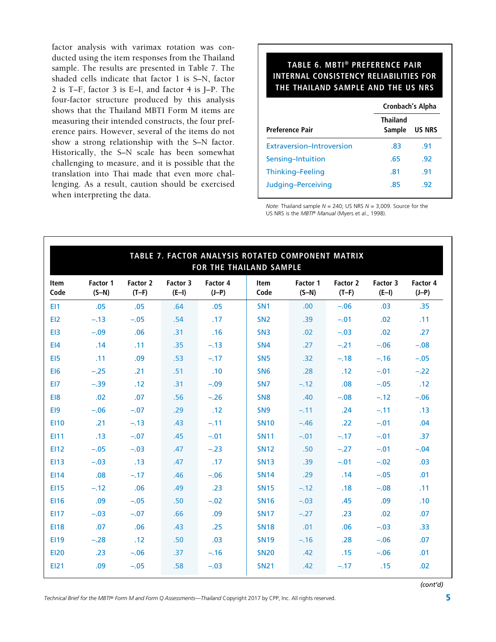factor analysis with varimax rotation was conducted using the item responses from the Thailand sample. The results are presented in Table 7. The shaded cells indicate that factor 1 is S–N, factor 2 is T–F, factor 3 is E–I, and factor 4 is J–P. The four-factor structure produced by this analysis shows that the Thailand MBTI Form M items are measuring their intended constructs, the four preference pairs. However, several of the items do not show a strong relationship with the S–N factor. Historically, the S–N scale has been somewhat challenging to measure, and it is possible that the translation into Thai made that even more challenging. As a result, caution should be exercised when interpreting the data.

#### **TABLE 6. MBTI® PREFERENCE PAIR INTERNAL CONSISTENCY RELIABILITIES FOR THE THAILAND SAMPLE AND THE US NRS**

|                           | Cronbach's Alpha          |               |  |  |
|---------------------------|---------------------------|---------------|--|--|
| <b>Preference Pair</b>    | <b>Thailand</b><br>Sample | <b>US NRS</b> |  |  |
| Extraversion-Introversion | .83                       | .91           |  |  |
| Sensing-Intuition         | .65                       | -92           |  |  |
| Thinking-Feeling          | .81                       | .91           |  |  |
| Judging-Perceiving        | .85                       | .92           |  |  |

*Note:* Thailand sample *N* = 240; US NRS *N* = 3,009. Source for the US NRS is the *MBTI® Manual* (Myers et al., 1998).

| TABLE 7. FACTOR ANALYSIS ROTATED COMPONENT MATRIX<br>FOR THE THAILAND SAMPLE |                     |                     |                     |                     |                 |                     |                            |                     |                     |  |
|------------------------------------------------------------------------------|---------------------|---------------------|---------------------|---------------------|-----------------|---------------------|----------------------------|---------------------|---------------------|--|
| Item<br>Code                                                                 | Factor 1<br>$(S-N)$ | Factor 2<br>$(T-F)$ | Factor 3<br>$(E-I)$ | Factor 4<br>$(J-P)$ | Item<br>Code    | Factor 1<br>$(S-N)$ | <b>Factor 2</b><br>$(T-F)$ | Factor 3<br>$(E-I)$ | Factor 4<br>$(J-P)$ |  |
| E11                                                                          | .05                 | .05                 | .64                 | .05                 | SN <sub>1</sub> | .00                 | $-.06$                     | .03                 | .35                 |  |
| E12                                                                          | $-.13$              | $-.05$              | .54                 | .17                 | SN <sub>2</sub> | .39                 | $-.01$                     | .02                 | .11                 |  |
| E <sub>13</sub>                                                              | $-.09$              | .06                 | .31                 | .16                 | SN <sub>3</sub> | .02                 | $-.03$                     | .02                 | .27                 |  |
| E <sub>14</sub>                                                              | .14                 | .11                 | .35                 | $-.13$              | SN <sub>4</sub> | .27                 | $-.21$                     | $-.06$              | $-.08$              |  |
| E <sub>15</sub>                                                              | .11                 | .09                 | .53                 | $-.17$              | SN <sub>5</sub> | .32                 | $-.18$                     | $-.16$              | $-.05$              |  |
| E <sub>16</sub>                                                              | $-.25$              | .21                 | .51                 | .10                 | SN <sub>6</sub> | .28                 | .12                        | $-.01$              | $-.22$              |  |
| EI7                                                                          | $-.39$              | .12                 | .31                 | $-.09$              | SN <sub>7</sub> | $-.12$              | .08                        | $-.05$              | .12                 |  |
| EI8                                                                          | .02                 | .07                 | .56                 | $-.26$              | SN <sub>8</sub> | .40                 | $-.08$                     | $-.12$              | $-.06$              |  |
| E <sub>19</sub>                                                              | $-.06$              | $-.07$              | .29                 | .12                 | SN <sub>9</sub> | $-.11$              | .24                        | $-.11$              | .13                 |  |
| <b>EI10</b>                                                                  | .21                 | $-.13$              | .43                 | $-.11$              | <b>SN10</b>     | $-.46$              | .22                        | $-.01$              | .04                 |  |
| E111                                                                         | .13                 | $-.07$              | .45                 | $-.01$              | <b>SN11</b>     | $-.01$              | $-.17$                     | $-.01$              | .37                 |  |
| <b>EI12</b>                                                                  | $-.05$              | $-.03$              | .47                 | $-.23$              | <b>SN12</b>     | .50                 | $-.27$                     | $-.01$              | $-.04$              |  |
| <b>EI13</b>                                                                  | $-.03$              | .13                 | .47                 | .17                 | <b>SN13</b>     | .39                 | $-.01$                     | $-.02$              | .03                 |  |
| <b>EI14</b>                                                                  | .08                 | $-.17$              | .46                 | $-.06$              | <b>SN14</b>     | .29                 | .14                        | $-.05$              | .01                 |  |
| <b>EI15</b>                                                                  | $-.12$              | .06                 | .49                 | .23                 | <b>SN15</b>     | $-.12$              | .18                        | $-.08$              | .11                 |  |
| <b>EI16</b>                                                                  | .09                 | $-.05$              | .50                 | $-.02$              | <b>SN16</b>     | $-.03$              | .45                        | .09                 | .10                 |  |
| <b>EI17</b>                                                                  | $-.03$              | $-.07$              | .66                 | .09                 | <b>SN17</b>     | $-.27$              | .23                        | .02                 | .07                 |  |
| <b>EI18</b>                                                                  | .07                 | .06                 | .43                 | .25                 | <b>SN18</b>     | .01                 | .06                        | $-.03$              | .33                 |  |
| <b>EI19</b>                                                                  | $-.28$              | .12                 | .50                 | .03                 | <b>SN19</b>     | $-.16$              | .28                        | $-.06$              | .07                 |  |
| <b>EI20</b>                                                                  | .23                 | $-.06$              | .37                 | $-.16$              | <b>SN20</b>     | .42                 | .15                        | $-.06$              | .01                 |  |
| <b>EI21</b>                                                                  | .09                 | $-.05$              | .58                 | $-.03$              | <b>SN21</b>     | .42                 | $-.17$                     | .15                 | .02                 |  |

*(cont'd)*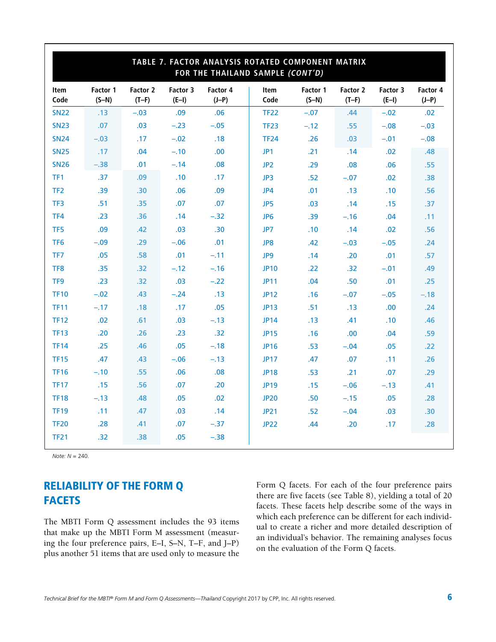|                 | TABLE 7. FACTOR ANALYSIS ROTATED COMPONENT MATRIX<br>FOR THE THAILAND SAMPLE (CONT'D) |                     |                     |                     |                 |                     |                     |                     |                     |  |
|-----------------|---------------------------------------------------------------------------------------|---------------------|---------------------|---------------------|-----------------|---------------------|---------------------|---------------------|---------------------|--|
| Item<br>Code    | Factor 1<br>$(S-N)$                                                                   | Factor 2<br>$(T-F)$ | Factor 3<br>$(E-I)$ | Factor 4<br>$(J-P)$ | Item<br>Code    | Factor 1<br>$(S-N)$ | Factor 2<br>$(T-F)$ | Factor 3<br>$(E-I)$ | Factor 4<br>$(J-P)$ |  |
| <b>SN22</b>     | .13                                                                                   | $-.03$              | .09                 | .06                 | <b>TF22</b>     | $-.07$              | .44                 | $-.02$              | .02                 |  |
| <b>SN23</b>     | .07                                                                                   | .03                 | $-.23$              | $-.05$              | <b>TF23</b>     | $-.12$              | .55                 | $-.08$              | $-.03$              |  |
| <b>SN24</b>     | $-.03$                                                                                | .17                 | $-.02$              | .18                 | <b>TF24</b>     | .26                 | .03                 | $-.01$              | $-.08$              |  |
| <b>SN25</b>     | .17                                                                                   | .04                 | $-.10$              | .00                 | JP1             | .21                 | .14                 | .02                 | .48                 |  |
| <b>SN26</b>     | $-.38$                                                                                | .01                 | $-.14$              | .08                 | JP <sub>2</sub> | .29                 | .08                 | .06                 | .55                 |  |
| TF1             | .37                                                                                   | .09                 | .10                 | .17                 | JP3             | .52                 | $-.07$              | .02                 | .38                 |  |
| TF <sub>2</sub> | .39                                                                                   | .30                 | .06                 | .09                 | JP4             | .01                 | .13                 | .10                 | .56                 |  |
| TF3             | .51                                                                                   | .35                 | .07                 | .07                 | JP5             | .03                 | .14                 | .15                 | .37                 |  |
| TF4             | .23                                                                                   | .36                 | .14                 | $-.32$              | JP <sub>6</sub> | .39                 | $-.16$              | .04                 | .11                 |  |
| TF <sub>5</sub> | .09                                                                                   | .42                 | .03                 | .30                 | JP7             | .10                 | .14                 | .02                 | .56                 |  |
| TF <sub>6</sub> | $-.09$                                                                                | .29                 | $-.06$              | .01                 | JP8             | .42                 | $-.03$              | $-.05$              | .24                 |  |
| TF7             | .05                                                                                   | .58                 | .01                 | $-.11$              | JP9             | .14                 | .20                 | .01                 | .57                 |  |
| TF8             | .35                                                                                   | .32                 | $-.12$              | $-.16$              | <b>JP10</b>     | .22                 | .32                 | $-.01$              | .49                 |  |
| TF9             | .23                                                                                   | .32                 | .03                 | $-.22$              | <b>JP11</b>     | .04                 | .50                 | .01                 | .25                 |  |
| <b>TF10</b>     | $-.02$                                                                                | .43                 | $-.24$              | .13                 | <b>JP12</b>     | .16                 | $-.07$              | $-.05$              | $-.18$              |  |
| <b>TF11</b>     | $-.17$                                                                                | .18                 | .17                 | .05                 | JP13            | .51                 | .13                 | .00                 | .24                 |  |
| <b>TF12</b>     | .02                                                                                   | .61                 | .03                 | $-.13$              | <b>JP14</b>     | .13                 | .41                 | .10                 | .46                 |  |
| <b>TF13</b>     | .20                                                                                   | .26                 | .23                 | .32                 | <b>JP15</b>     | .16                 | .00                 | .04                 | .59                 |  |
| <b>TF14</b>     | .25                                                                                   | .46                 | .05                 | $-.18$              | <b>JP16</b>     | .53                 | $-.04$              | .05                 | .22                 |  |
| <b>TF15</b>     | .47                                                                                   | .43                 | $-.06$              | $-.13$              | <b>JP17</b>     | .47                 | .07                 | .11                 | .26                 |  |
| <b>TF16</b>     | $-.10$                                                                                | .55                 | .06                 | .08                 | <b>JP18</b>     | .53                 | .21                 | .07                 | .29                 |  |
| <b>TF17</b>     | .15                                                                                   | .56                 | .07                 | .20                 | <b>JP19</b>     | .15                 | $-.06$              | $-.13$              | .41                 |  |
| <b>TF18</b>     | $-.13$                                                                                | .48                 | .05                 | .02                 | <b>JP20</b>     | .50                 | $-.15$              | .05                 | .28                 |  |
| <b>TF19</b>     | .11                                                                                   | .47                 | .03                 | .14                 | <b>JP21</b>     | .52                 | $-.04$              | .03                 | .30                 |  |
| <b>TF20</b>     | .28                                                                                   | .41                 | .07                 | $-.37$              | <b>JP22</b>     | .44                 | .20                 | .17                 | .28                 |  |
| <b>TF21</b>     | .32                                                                                   | .38                 | .05                 | $-.38$              |                 |                     |                     |                     |                     |  |

*Note: N* = 240.

# RELIABILITY OF THE FORM Q **FACETS**

The MBTI Form Q assessment includes the 93 items that make up the MBTI Form M assessment (measuring the four preference pairs, E–I, S–N, T–F, and J–P) plus another 51 items that are used only to measure the

Form Q facets. For each of the four preference pairs there are five facets (see Table 8), yielding a total of 20 facets. These facets help describe some of the ways in which each preference can be different for each individual to create a richer and more detailed description of an individual's behavior. The remaining analyses focus on the evaluation of the Form Q facets.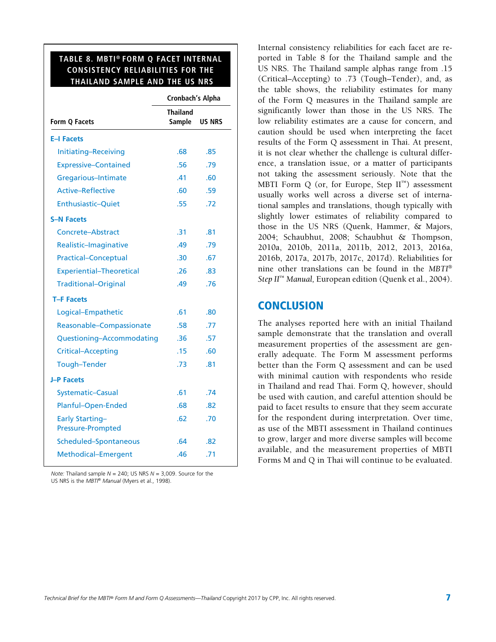#### **TABLE 8. MBTI® FORM Q FACET INTERNAL CONSISTENCY RELIABILITIES FOR THE THAILAND SAMPLE AND THE US NRS**

 $\overline{\phantom{a}}$ 

| <b>Cronbach's Alpha</b>          |               |  |  |
|----------------------------------|---------------|--|--|
| <b>Thailand</b><br><b>Sample</b> | <b>US NRS</b> |  |  |
|                                  |               |  |  |
| .68                              | .85           |  |  |
| .56                              | .79           |  |  |
| .41                              | .60           |  |  |
| .60                              | .59           |  |  |
| .55                              | .72           |  |  |
|                                  |               |  |  |
| .31                              | .81           |  |  |
| .49                              | .79           |  |  |
| .30                              | .67           |  |  |
| .26                              | .83           |  |  |
| .49                              | .76           |  |  |
|                                  |               |  |  |
| .61                              | .80           |  |  |
| .58                              | .77           |  |  |
| .36                              | .57           |  |  |
| .15                              | .60           |  |  |
| .73                              | .81           |  |  |
|                                  |               |  |  |
| .61                              | .74           |  |  |
| .68                              | .82           |  |  |
| .62                              | .70           |  |  |
| .64                              | .82           |  |  |
| .46                              | .71           |  |  |
|                                  |               |  |  |

*Note:* Thailand sample *N* = 240; US NRS *N* = 3,009. Source for the US NRS is the *MBTI® Manual* (Myers et al., 1998).

Internal consistency reliabilities for each facet are reported in Table 8 for the Thailand sample and the US NRS. The Thailand sample alphas range from .15 (Critical–Accepting) to .73 (Tough–Tender), and, as the table shows, the reliability estimates for many of the Form Q measures in the Thailand sample are significantly lower than those in the US NRS. The low reliability estimates are a cause for concern, and caution should be used when interpreting the facet results of the Form Q assessment in Thai. At present, it is not clear whether the challenge is cultural difference, a translation issue, or a matter of participants not taking the assessment seriously. Note that the MBTI Form Q (or, for Europe, Step  $II^M$ ) assessment usually works well across a diverse set of international samples and translations, though typically with slightly lower estimates of reliability compared to those in the US NRS (Quenk, Hammer, & Majors, 2004; Schaubhut, 2008; Schaubhut & Thompson, 2010a, 2010b, 2011a, 2011b, 2012, 2013, 2016a, 2016b, 2017a, 2017b, 2017c, 2017d). Reliabilities for nine other translations can be found in the *MBTI*® *Step II*™ *Manual,* European edition (Quenk et al., 2004).

### **CONCLUSION**

The analyses reported here with an initial Thailand sample demonstrate that the translation and overall measurement properties of the assessment are generally adequate. The Form M assessment performs better than the Form Q assessment and can be used with minimal caution with respondents who reside in Thailand and read Thai. Form Q, however, should be used with caution, and careful attention should be paid to facet results to ensure that they seem accurate for the respondent during interpretation. Over time, as use of the MBTI assessment in Thailand continues to grow, larger and more diverse samples will become available, and the measurement properties of MBTI Forms M and Q in Thai will continue to be evaluated.